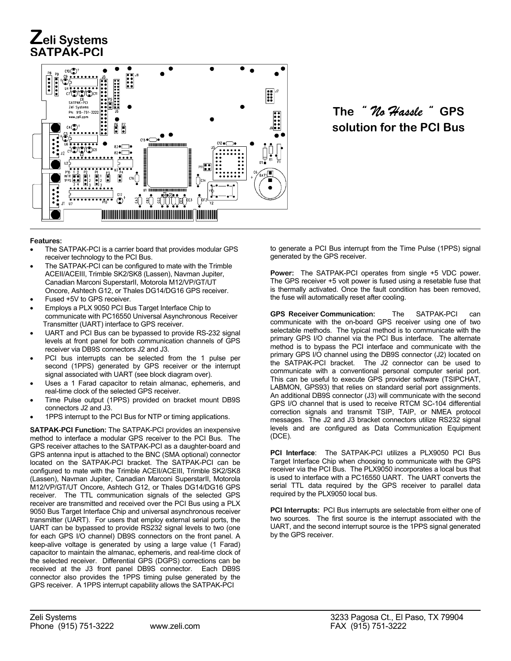# **Zeli Systems SATPAK-PCI**



## **The** *" No Hassle "* **GPS solution for the PCI Bus**

### **Features:**

- The SATPAK-PCI is a carrier board that provides modular GPS receiver technology to the PCI Bus.
- The SATPAK-PCI can be configured to mate with the Trimble ACEII/ACEIII, Trimble SK2/SK8 (Lassen), Navman Jupiter, Canadian Marconi SuperstarII, Motorola M12/VP/GT/UT Oncore, Ashtech G12, or Thales DG14/DG16 GPS receiver.
- Fused +5V to GPS receiver.
- Employs a PLX 9050 PCI Bus Target Interface Chip to communicate with PC16550 Universal Asynchronous Receiver Transmitter (UART) interface to GPS receiver.
- UART and PCI Bus can be bypassed to provide RS-232 signal levels at front panel for both communication channels of GPS receiver via DB9S connectors J2 and J3.
- PCI bus interrupts can be selected from the 1 pulse per second (1PPS) generated by GPS receiver or the interrupt signal associated with UART (see block diagram over).
- Uses a 1 Farad capacitor to retain almanac, ephemeris, and real-time clock of the selected GPS receiver.
- Time Pulse output (1PPS) provided on bracket mount DB9S connectors J2 and J3.
- 1PPS interrupt to the PCI Bus for NTP or timing applications.

**SATPAK-PCI Function:** The SATPAK-PCI provides an inexpensive method to interface a modular GPS receiver to the PCI Bus. The GPS receiver attaches to the SATPAK-PCI as a daughter-board and GPS antenna input is attached to the BNC (SMA optional) connector located on the SATPAK-PCI bracket. The SATPAK-PCI can be configured to mate with the Trimble ACEII/ACEIII, Trimble SK2/SK8 (Lassen), Navman Jupiter, Canadian Marconi SuperstarII, Motorola M12/VP/GT/UT Oncore, Ashtech G12, or Thales DG14/DG16 GPS receiver. The TTL communication signals of the selected GPS receiver are transmitted and received over the PCI Bus using a PLX 9050 Bus Target Interface Chip and universal asynchronous receiver transmitter (UART). For users that employ external serial ports, the UART can be bypassed to provide RS232 signal levels to two (one for each GPS I/O channel) DB9S connectors on the front panel. A keep-alive voltage is generated by using a large value (1 Farad) capacitor to maintain the almanac, ephemeris, and real-time clock of the selected receiver. Differential GPS (DGPS) corrections can be received at the J3 front panel DB9S connector. Each DB9S connector also provides the 1PPS timing pulse generated by the GPS receiver. A 1PPS interrupt capability allows the SATPAK-PCI

to generate a PCI Bus interrupt from the Time Pulse (1PPS) signal generated by the GPS receiver.

**Power:** The SATPAK-PCI operates from single +5 VDC power. The GPS receiver +5 volt power is fused using a resetable fuse that is thermally activated. Once the fault condition has been removed, the fuse will automatically reset after cooling.

**GPS Receiver Communication:** The SATPAK-PCI can communicate with the on-board GPS receiver using one of two selectable methods. The typical method is to communicate with the primary GPS I/O channel via the PCI Bus interface. The alternate method is to bypass the PCI interface and communicate with the primary GPS I/O channel using the DB9S connector (J2) located on the SATPAK-PCI bracket. The J2 connector can be used to communicate with a conventional personal computer serial port. This can be useful to execute GPS provider software (TSIPCHAT, LABMON, GPS93) that relies on standard serial port assignments. An additional DB9S connector (J3) will communicate with the second GPS I/O channel that is used to receive RTCM SC-104 differential correction signals and transmit TSIP, TAIP, or NMEA protocol messages. The J2 and J3 bracket connectors utilize RS232 signal levels and are configured as Data Communication Equipment (DCE).

**PCI Interface**: The SATPAK-PCI utilizes a PLX9050 PCI Bus Target Interface Chip when choosing to communicate with the GPS receiver via the PCI Bus. The PLX9050 incorporates a local bus that is used to interface with a PC16550 UART. The UART converts the serial TTL data required by the GPS receiver to parallel data required by the PLX9050 local bus.

**PCI Interrupts:** PCI Bus interrupts are selectable from either one of two sources. The first source is the interrupt associated with the UART, and the second interrupt source is the 1PPS signal generated by the GPS receiver.